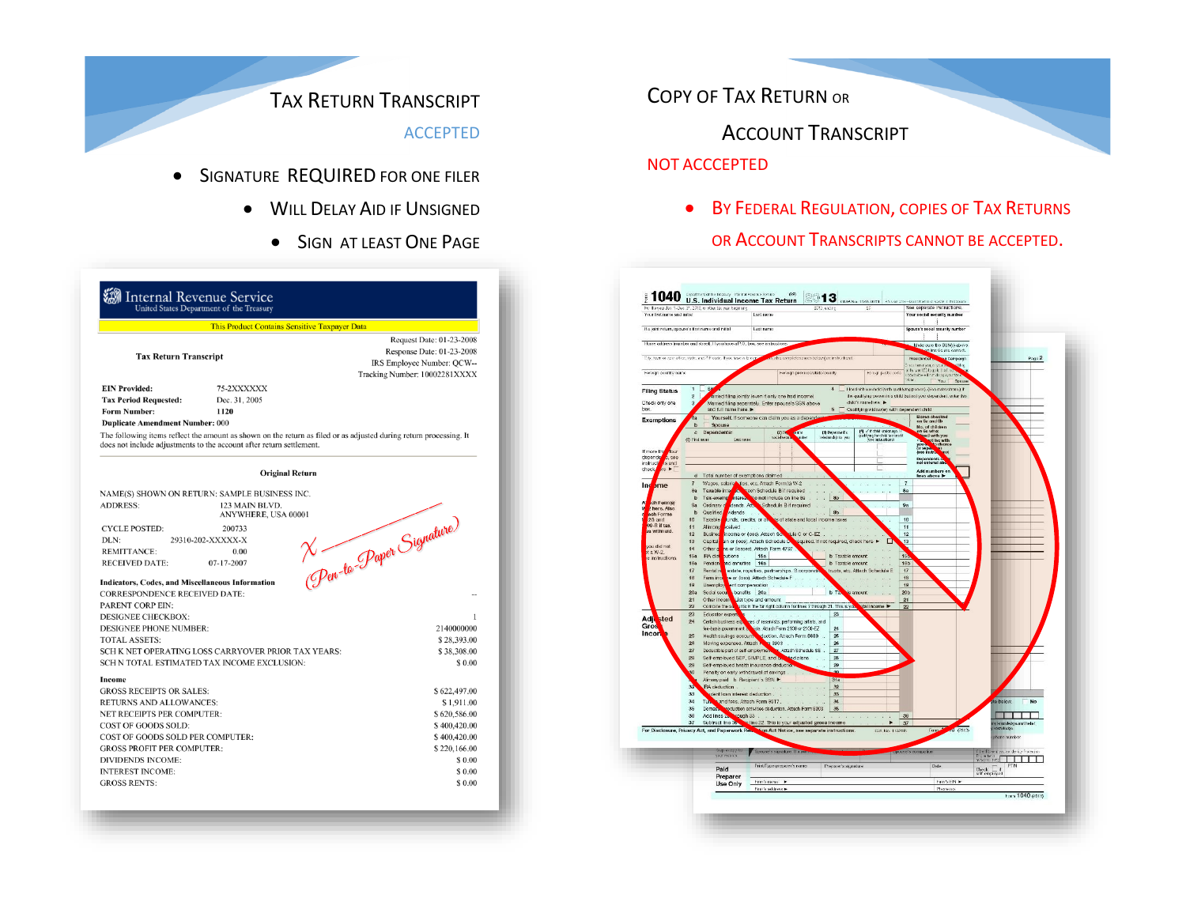# TAX RETURN TRANSCRIPT

ACCEPTED

- **SIGNATURE REQUIRED FOR ONE FILER** 
	- **.** WILL DELAY AID IF UNSIGNED
		- **SIGN AT LEAST ONE PAGE**

| This Product Contains Sensitive Taxpayer Data                     |                                                                                                                                                                                            |                               |
|-------------------------------------------------------------------|--------------------------------------------------------------------------------------------------------------------------------------------------------------------------------------------|-------------------------------|
|                                                                   |                                                                                                                                                                                            | Request Date: 01-23-2008      |
| <b>Tax Return Transcript</b>                                      |                                                                                                                                                                                            | Response Date: 01-23-2008     |
|                                                                   |                                                                                                                                                                                            | IRS Employee Number: QCW--    |
|                                                                   |                                                                                                                                                                                            | Tracking Number: 10002281XXXX |
| <b>EIN Provided:</b>                                              | 75-2XXXXXX                                                                                                                                                                                 |                               |
| <b>Tax Period Requested:</b>                                      | Dec. 31, 2005                                                                                                                                                                              |                               |
| <b>Form Number:</b>                                               | 1120                                                                                                                                                                                       |                               |
| <b>Duplicate Amendment Number: 000</b>                            |                                                                                                                                                                                            |                               |
|                                                                   | The following items reflect the amount as shown on the return as filed or as adjusted during return processing. It<br>does not include adjustments to the account after return settlement. |                               |
|                                                                   | <b>Original Return</b>                                                                                                                                                                     |                               |
|                                                                   | NAME(S) SHOWN ON RETURN: SAMPLE BUSINESS INC.                                                                                                                                              |                               |
| <b>ADDRESS:</b>                                                   | 123 MAIN BLVD.                                                                                                                                                                             |                               |
|                                                                   | ANYWHERE, USA 00001                                                                                                                                                                        |                               |
| <b>CYCLE POSTED:</b>                                              | 200733                                                                                                                                                                                     |                               |
| DLN:                                                              | 29310-202-XXXXX-X                                                                                                                                                                          |                               |
| <b>REMITTANCE:</b>                                                | 0.00                                                                                                                                                                                       |                               |
| <b>RECEIVED DATE:</b>                                             | 07-17-2007                                                                                                                                                                                 |                               |
| <b>Indicators, Codes, and Miscellaneous Information</b>           |                                                                                                                                                                                            | X Pen-to-Paper Signature)     |
| <b>CORRESPONDENCE RECEIVED DATE:</b>                              |                                                                                                                                                                                            |                               |
| <b>PARENT CORP EIN:</b>                                           |                                                                                                                                                                                            |                               |
| <b>DESIGNEE CHECKBOX:</b>                                         |                                                                                                                                                                                            | 1                             |
| <b>DESIGNEE PHONE NUMBER:</b>                                     | 2140000000                                                                                                                                                                                 |                               |
| <b>TOTAL ASSETS:</b>                                              | \$28,393.00                                                                                                                                                                                |                               |
| SCH K NET OPERATING LOSS CARRYOVER PRIOR TAX YEARS:               | \$38,308.00                                                                                                                                                                                |                               |
| SCH N TOTAL ESTIMATED TAX INCOME EXCLUSION:                       |                                                                                                                                                                                            | \$0.00                        |
|                                                                   |                                                                                                                                                                                            |                               |
| <b>Income</b>                                                     |                                                                                                                                                                                            |                               |
| <b>GROSS RECEIPTS OR SALES:</b><br><b>RETURNS AND ALLOWANCES:</b> |                                                                                                                                                                                            | \$622,497.00                  |
| <b>NET RECEIPTS PER COMPUTER:</b>                                 |                                                                                                                                                                                            | \$1,911.00<br>\$620,586.00    |
| COST OF GOODS SOLD:                                               |                                                                                                                                                                                            | \$400,420.00                  |
| COST OF GOODS SOLD PER COMPUTER:                                  |                                                                                                                                                                                            | \$400,420.00                  |
| <b>GROSS PROFIT PER COMPUTER:</b>                                 |                                                                                                                                                                                            | \$220,166.00                  |
| <b>DIVIDENDS INCOME:</b>                                          |                                                                                                                                                                                            | \$0.00                        |
|                                                                   |                                                                                                                                                                                            |                               |
| <b>INTEREST INCOME:</b>                                           |                                                                                                                                                                                            | \$0.00                        |

COPY OF TAX RETURN OR

ACCOUNT TRANSCRIPT

### NOT ACCCEPTED

**• BY FEDERAL REGULATION, COPIES OF TAX RETURNS** OR ACCOUNT TRANSCRIPTS CANNOT BE ACCEPTED.

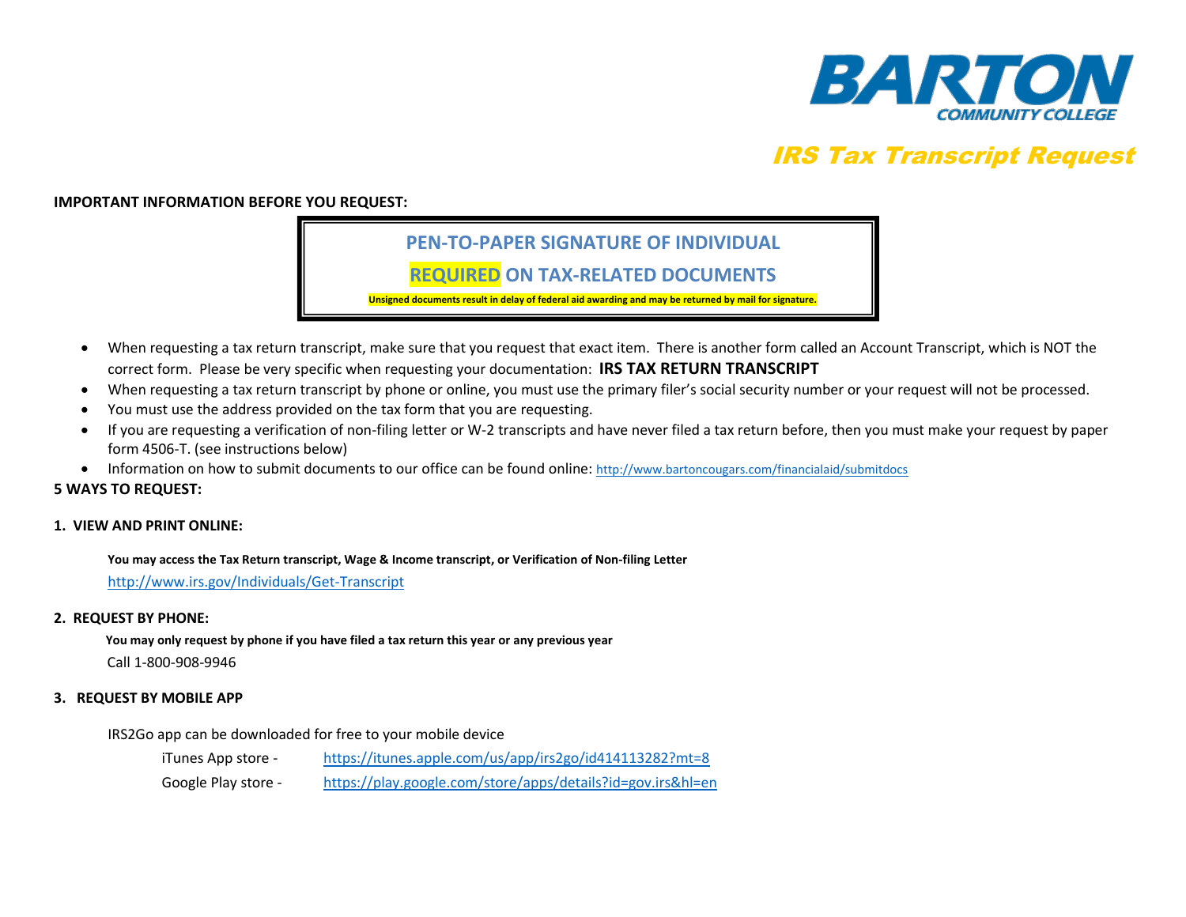

# IRS Tax Transcript Request

#### **IMPORTANT INFORMATION BEFORE YOU REQUEST:**

## **PEN-TO-PAPER SIGNATURE OF INDIVIDUAL**

## **REQUIRED ON TAX-RELATED DOCUMENTS**

**Unsigned documents result in delay of federal aid awarding and may be returned by mail for signature.**

- When requesting a tax return transcript, make sure that you request that exact item. There is another form called an Account Transcript, which is NOT the correct form. Please be very specific when requesting your documentation: **IRS TAX RETURN TRANSCRIPT**
- When requesting a tax return transcript by phone or online, you must use the primary filer's social security number or your request will not be processed.
- You must use the address provided on the tax form that you are requesting.
- If you are requesting a verification of non-filing letter or W-2 transcripts and have never filed a tax return before, then you must make your request by paper form 4506-T. (see instructions below)
- Information on how to submit documents to our office can be found online: <http://www.bartoncougars.com/financialaid/submitdocs>

#### **5 WAYS TO REQUEST:**

#### **1. VIEW AND PRINT ONLINE:**

**You may access the Tax Return transcript, Wage & Income transcript, or Verification of Non-filing Letter** 

<http://www.irs.gov/Individuals/Get-Transcript>

#### **2. REQUEST BY PHONE:**

 **You may only request by phone if you have filed a tax return this year or any previous year**

Call 1-800-908-9946

#### **3. REQUEST BY MOBILE APP**

IRS2Go app can be downloaded for free to your mobile device

iTunes App store - <https://itunes.apple.com/us/app/irs2go/id414113282?mt=8> Google Play store - <https://play.google.com/store/apps/details?id=gov.irs&hl=en>